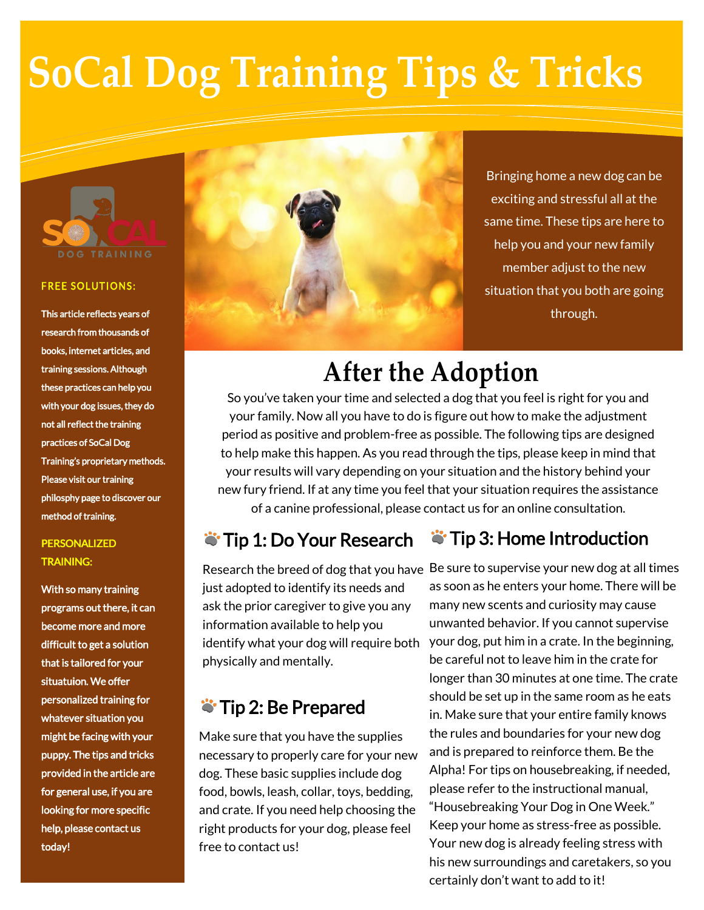# **SoCal Dog Training Tips & Tricks**



#### **FREE SOLUTIONS:**

This article reflects years of research from thousands of books, internet articles, and training sessions. Although these practices can help you with your dog issues, they do not all reflect the training practices of SoCal Dog Training's proprietary methods. Please visit our training philosphy page to discover our method of training.

### PERSONALIZED TRAINING:

With so many training programs out there, it can become more and more difficult to get a solution that is tailored for your situatuion. We offer personalized training for whatever situation you might be facing with your puppy. The tips and tricks provided in the article are for general use, if you are looking for more specific help, please contact us today!



Bringing home a new dog can be exciting and stressful all at the same time. These tips are here to help you and your new family member adjust to the new situation that you both are going through.

# **After the Adoption**

So you've taken your time and selected a dog that you feel is right for you and your family. Now all you have to do is figure out how to make the adjustment period as positive and problem-free as possible. The following tips are designed to help make this happen. As you read through the tips, please keep in mind that your results will vary depending on your situation and the history behind your new fury friend. If at any time you feel that your situation requires the assistance of a canine professional, please contact us for an online consultation.

## **Tip 1: Do Your Research**

## **S** Tip 3: Home Introduction

just adopted to identify its needs and ask the prior caregiver to give you any information available to help you identify what your dog will require both physically and mentally.

## **Tip 2: Be Prepared**

Make sure that you have the supplies necessary to properly care for your new dog. These basic supplies include dog food, bowls, leash, collar, toys, bedding, and crate. If you need help choosing the right products for your dog, please feel free to contact us!

Research the breed of dog that you have Be sure to supervise your new dog at all times as soon as he enters your home. There will be many new scents and curiosity may cause unwanted behavior. If you cannot supervise your dog, put him in a crate. In the beginning, be careful not to leave him in the crate for longer than 30 minutes at one time. The crate should be set up in the same room as he eats in. Make sure that your entire family knows the rules and boundaries for your new dog and is prepared to reinforce them. Be the Alpha! For tips on housebreaking, if needed, please refer to the instructional manual, "Housebreaking Your Dog in One Week." Keep your home as stress-free as possible. Your new dog is already feeling stress with his new surroundings and caretakers, so you certainly don't want to add to it!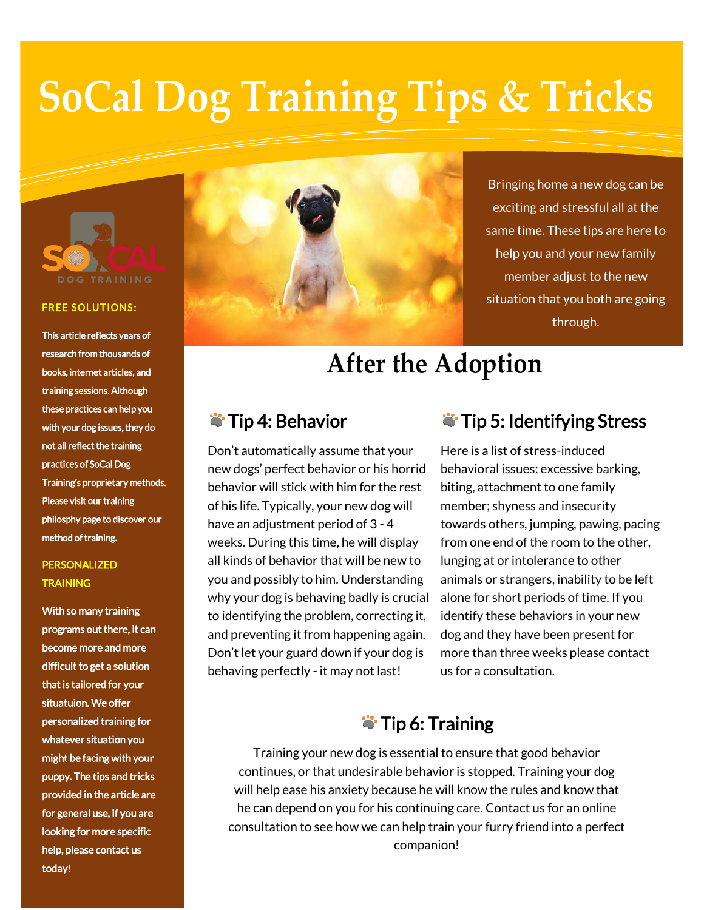# **SoCal Dog Training Tips & Tricks**



#### **FREE SOLUTIONS:**

This article reflects years of research from thousands of books, internet articles, and training sessions. Although these practices can help you with your dog issues, they do not all reflect the training practices of SoCal Dog Training's proprietary methods. Please visit our training philosphy page to discover our method of training.

### PERSONALIZED **TRAINING**

With so many training programs out there, it can become more and more difficult to get a solution that is tailored for your situatuion. We offer personalized training for whatever situation you might be facing with your puppy. The tips and tricks provided in the article are for general use, if you are looking for more specific help, please contact us today!



Bringing home a new dog can be exciting and stressful all at the same time. These tips are here to help you and your new family member adjust to the new situation that you both are going through.

# **After the Adoption**

## **Tip 4: Behavior**

Don't automatically assume that your new dogs' perfect behavior or his horrid behavior will stick with him for the rest of his life. Typically, your new dog will have an adjustment period of 3 - 4 weeks. During this time, he will display all kinds of behavior that will be new to you and possibly to him. Understanding why your dog is behaving badly is crucial to identifying the problem, correcting it, and preventing it from happening again. Don't let your guard down if your dog is behaving perfectly - it may not last!

## **S** Tip 5: Identifying Stress

Here is a list of stress-induced behavioral issues: excessive barking, biting, attachment to one family member; shyness and insecurity towards others, jumping, pawing, pacing from one end of the room to the other, lunging at or intolerance to other animals or strangers, inability to be left alone for short periods of time. If you identify these behaviors in your new dog and they have been present for more than three weeks please contact us for a consultation.

## **Tip 6: Training**

Training your new dog is essential to ensure that good behavior continues, or that undesirable behavior is stopped. Training your dog will help ease his anxiety because he will know the rules and know that he can depend on you for his continuing care. Contact us for an online consultation to see how we can help train your furry friend into a perfect companion!